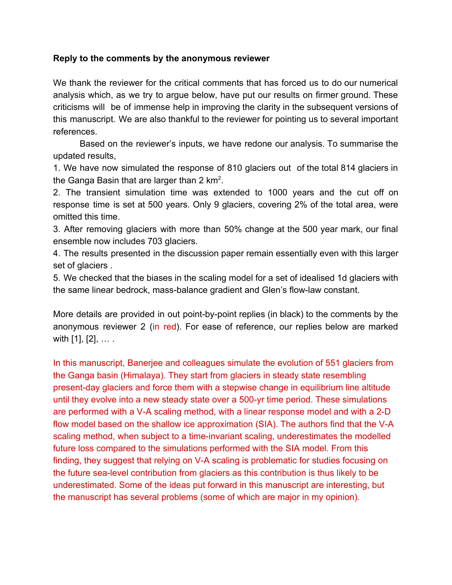## **Reply to the comments by the anonymous reviewer**

We thank the reviewer for the critical comments that has forced us to do our numerical analysis which, as we try to argue below, have put our results on firmer ground. These criticisms will be of immense help in improving the clarity in the subsequent versions of this manuscript. We are also thankful to the reviewer for pointing us to several important references.

Based on the reviewer's inputs, we have redone our analysis. To summarise the updated results,

1. We have now simulated the response of 810 glaciers out of the total 814 glaciers in the Ganga Basin that are larger than 2  $km^2$ .

2. The transient simulation time was extended to 1000 years and the cut off on response time is set at 500 years. Only 9 glaciers, covering 2% of the total area, were omitted this time.

3. After removing glaciers with more than 50% change at the 500 year mark, our final ensemble now includes 703 glaciers.

4. The results presented in the discussion paper remain essentially even with this larger set of glaciers .

5. We checked that the biases in the scaling model for a set of idealised 1d glaciers with the same linear bedrock, mass-balance gradient and Glen's flow-law constant.

More details are provided in out point-by-point replies (in black) to the comments by the anonymous reviewer 2 (in red). For ease of reference, our replies below are marked with [1], [2], … .

In this manuscript, Banerjee and colleagues simulate the evolution of 551 glaciers from the Ganga basin (Himalaya). They start from glaciers in steady state resembling present-day glaciers and force them with a stepwise change in equilibrium line altitude until they evolve into a new steady state over a 500-yr time period. These simulations are performed with a V-A scaling method, with a linear response model and with a 2-D flow model based on the shallow ice approximation (SIA). The authors find that the V-A scaling method, when subject to a time-invariant scaling, underestimates the modelled future loss compared to the simulations performed with the SIA model. From this finding, they suggest that relying on V-A scaling is problematic for studies focusing on the future sea-level contribution from glaciers as this contribution is thus likely to be underestimated. Some of the ideas put forward in this manuscript are interesting, but the manuscript has several problems (some of which are major in my opinion).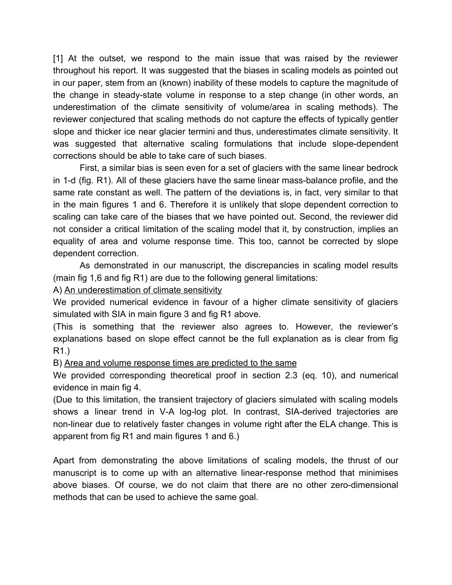[1] At the outset, we respond to the main issue that was raised by the reviewer throughout his report. It was suggested that the biases in scaling models as pointed out in our paper, stem from an (known) inability of these models to capture the magnitude of the change in steady-state volume in response to a step change (in other words, an underestimation of the climate sensitivity of volume/area in scaling methods). The reviewer conjectured that scaling methods do not capture the effects of typically gentler slope and thicker ice near glacier termini and thus, underestimates climate sensitivity. It was suggested that alternative scaling formulations that include slope-dependent corrections should be able to take care of such biases.

First, a similar bias is seen even for a set of glaciers with the same linear bedrock in 1-d (fig. R1). All of these glaciers have the same linear mass-balance profile, and the same rate constant as well. The pattern of the deviations is, in fact, very similar to that in the main figures 1 and 6. Therefore it is unlikely that slope dependent correction to scaling can take care of the biases that we have pointed out. Second, the reviewer did not consider a critical limitation of the scaling model that it, by construction, implies an equality of area and volume response time. This too, cannot be corrected by slope dependent correction.

As demonstrated in our manuscript, the discrepancies in scaling model results (main fig 1,6 and fig R1) are due to the following general limitations:

A) An underestimation of climate sensitivity

We provided numerical evidence in favour of a higher climate sensitivity of glaciers simulated with SIA in main figure 3 and fig R1 above.

(This is something that the reviewer also agrees to. However, the reviewer's explanations based on slope effect cannot be the full explanation as is clear from fig R1.)

B) Area and volume response times are predicted to the same

We provided corresponding theoretical proof in section 2.3 (eq. 10), and numerical evidence in main fig 4.

(Due to this limitation, the transient trajectory of glaciers simulated with scaling models shows a linear trend in V-A log-log plot. In contrast, SIA-derived trajectories are non-linear due to relatively faster changes in volume right after the ELA change. This is apparent from fig R1 and main figures 1 and 6.)

Apart from demonstrating the above limitations of scaling models, the thrust of our manuscript is to come up with an alternative linear-response method that minimises above biases. Of course, we do not claim that there are no other zero-dimensional methods that can be used to achieve the same goal.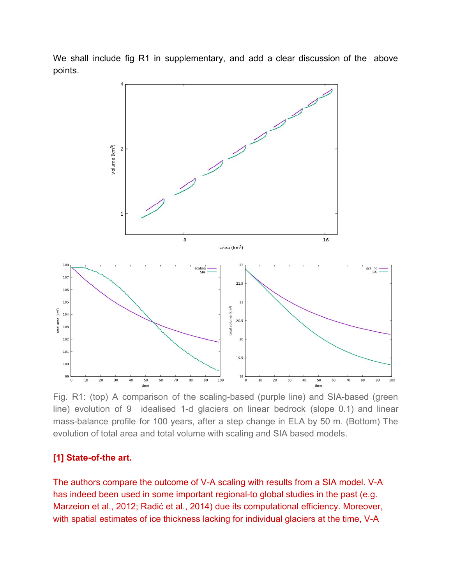

We shall include fig R1 in supplementary, and add a clear discussion of the above points.

Fig. R1: (top) A comparison of the scaling-based (purple line) and SIA-based (green line) evolution of 9 idealised 1-d glaciers on linear bedrock (slope 0.1) and linear mass-balance profile for 100 years, after a step change in ELA by 50 m. (Bottom) The evolution of total area and total volume with scaling and SIA based models.

### **[1] State-of-the art.**

The authors compare the outcome of V-A scaling with results from a SIA model. V-A has indeed been used in some important regional-to global studies in the past (e.g. Marzeion et al., 2012; Radić et al., 2014) due its computational efficiency. Moreover, with spatial estimates of ice thickness lacking for individual glaciers at the time, V-A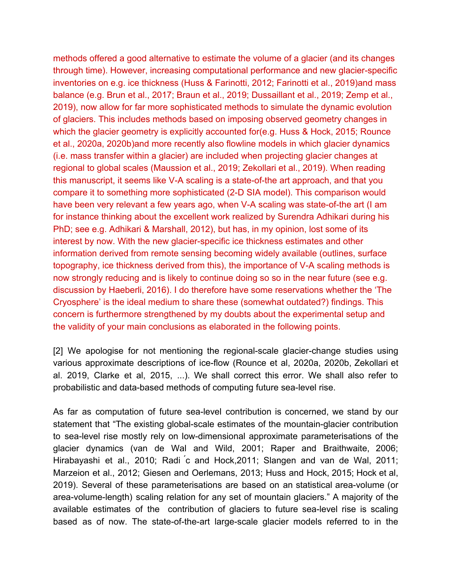methods offered a good alternative to estimate the volume of a glacier (and its changes through time). However, increasing computational performance and new glacier-specific inventories on e.g. ice thickness (Huss & Farinotti, 2012; Farinotti et al., 2019)and mass balance (e.g. Brun et al., 2017; Braun et al., 2019; Dussaillant et al., 2019; Zemp et al., 2019), now allow for far more sophisticated methods to simulate the dynamic evolution of glaciers. This includes methods based on imposing observed geometry changes in which the glacier geometry is explicitly accounted for (e.g. Huss & Hock, 2015; Rounce et al., 2020a, 2020b)and more recently also flowline models in which glacier dynamics (i.e. mass transfer within a glacier) are included when projecting glacier changes at regional to global scales (Maussion et al., 2019; Zekollari et al., 2019). When reading this manuscript, it seems like V-A scaling is a state-of-the art approach, and that you compare it to something more sophisticated (2-D SIA model). This comparison would have been very relevant a few years ago, when V-A scaling was state-of-the art (I am for instance thinking about the excellent work realized by Surendra Adhikari during his PhD; see e.g. Adhikari & Marshall, 2012), but has, in my opinion, lost some of its interest by now. With the new glacier-specific ice thickness estimates and other information derived from remote sensing becoming widely available (outlines, surface topography, ice thickness derived from this), the importance of V-A scaling methods is now strongly reducing and is likely to continue doing so so in the near future (see e.g. discussion by Haeberli, 2016). I do therefore have some reservations whether the 'The Cryosphere' is the ideal medium to share these (somewhat outdated?) findings. This concern is furthermore strengthened by my doubts about the experimental setup and the validity of your main conclusions as elaborated in the following points.

[2] We apologise for not mentioning the regional-scale glacier-change studies using various approximate descriptions of ice-flow (Rounce et al, 2020a, 2020b, Zekollari et al. 2019, Clarke et al, 2015, ...). We shall correct this error. We shall also refer to probabilistic and data-based methods of computing future sea-level rise.

As far as computation of future sea-level contribution is concerned, we stand by our statement that "The existing global-scale estimates of the mountain-glacier contribution to sea-level rise mostly rely on low-dimensional approximate parameterisations of the glacier dynamics (van de Wal and Wild, 2001; Raper and Braithwaite, 2006; Hirabayashi et al., 2010; Radi ́c and Hock,2011; Slangen and van de Wal, 2011; Marzeion et al., 2012; Giesen and Oerlemans, 2013; Huss and Hock, 2015; Hock et al, 2019). Several of these parameterisations are based on an statistical area-volume (or area-volume-length) scaling relation for any set of mountain glaciers." A majority of the available estimates of the contribution of glaciers to future sea-level rise is scaling based as of now. The state-of-the-art large-scale glacier models referred to in the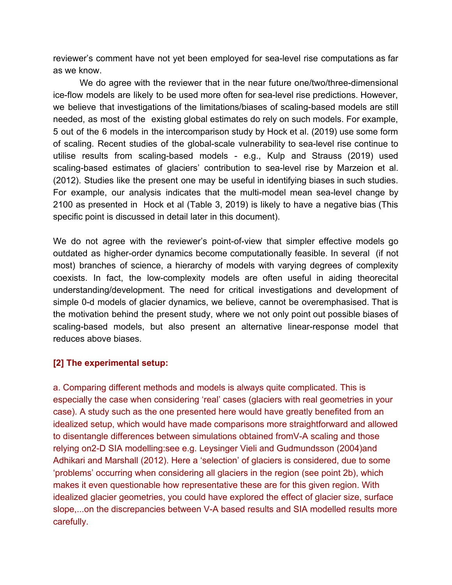reviewer's comment have not yet been employed for sea-level rise computations as far as we know.

We do agree with the reviewer that in the near future one/two/three-dimensional ice-flow models are likely to be used more often for sea-level rise predictions. However, we believe that investigations of the limitations/biases of scaling-based models are still needed, as most of the existing global estimates do rely on such models. For example, 5 out of the 6 models in the intercomparison study by Hock et al. (2019) use some form of scaling. Recent studies of the global-scale vulnerability to sea-level rise continue to utilise results from scaling-based models - e.g., Kulp and Strauss (2019) used scaling-based estimates of glaciers' contribution to sea-level rise by Marzeion et al. (2012). Studies like the present one may be useful in identifying biases in such studies. For example, our analysis indicates that the multi-model mean sea-level change by 2100 as presented in Hock et al (Table 3, 2019) is likely to have a negative bias (This specific point is discussed in detail later in this document).

We do not agree with the reviewer's point-of-view that simpler effective models go outdated as higher-order dynamics become computationally feasible. In several (if not most) branches of science, a hierarchy of models with varying degrees of complexity coexists. In fact, the low-complexity models are often useful in aiding theorecital understanding/development. The need for critical investigations and development of simple 0-d models of glacier dynamics, we believe, cannot be overemphasised. That is the motivation behind the present study, where we not only point out possible biases of scaling-based models, but also present an alternative linear-response model that reduces above biases.

# **[2] The experimental setup:**

a. Comparing different methods and models is always quite complicated. This is especially the case when considering 'real' cases (glaciers with real geometries in your case). A study such as the one presented here would have greatly benefited from an idealized setup, which would have made comparisons more straightforward and allowed to disentangle differences between simulations obtained fromV-A scaling and those relying on2-D SIA modelling:see e.g. Leysinger Vieli and Gudmundsson (2004)and Adhikari and Marshall (2012). Here a 'selection' of glaciers is considered, due to some 'problems' occurring when considering all glaciers in the region (see point 2b), which makes it even questionable how representative these are for this given region. With idealized glacier geometries, you could have explored the effect of glacier size, surface slope,...on the discrepancies between V-A based results and SIA modelled results more carefully.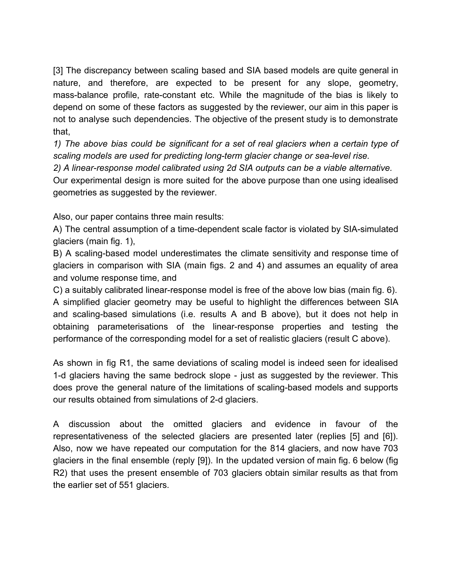[3] The discrepancy between scaling based and SIA based models are quite general in nature, and therefore, are expected to be present for any slope, geometry, mass-balance profile, rate-constant etc. While the magnitude of the bias is likely to depend on some of these factors as suggested by the reviewer, our aim in this paper is not to analyse such dependencies. The objective of the present study is to demonstrate that,

*1) The above bias could be significant for a set of real glaciers when a certain type of scaling models are used for predicting long-term glacier change or sea-level rise.*

*2) A linear-response model calibrated using 2d SIA outputs can be a viable alternative.*

Our experimental design is more suited for the above purpose than one using idealised geometries as suggested by the reviewer.

Also, our paper contains three main results:

A) The central assumption of a time-dependent scale factor is violated by SIA-simulated glaciers (main fig. 1),

B) A scaling-based model underestimates the climate sensitivity and response time of glaciers in comparison with SIA (main figs. 2 and 4) and assumes an equality of area and volume response time, and

C) a suitably calibrated linear-response model is free of the above low bias (main fig. 6). A simplified glacier geometry may be useful to highlight the differences between SIA and scaling-based simulations (i.e. results A and B above), but it does not help in obtaining parameterisations of the linear-response properties and testing the performance of the corresponding model for a set of realistic glaciers (result C above).

As shown in fig R1, the same deviations of scaling model is indeed seen for idealised 1-d glaciers having the same bedrock slope - just as suggested by the reviewer. This does prove the general nature of the limitations of scaling-based models and supports our results obtained from simulations of 2-d glaciers.

A discussion about the omitted glaciers and evidence in favour of the representativeness of the selected glaciers are presented later (replies [5] and [6]). Also, now we have repeated our computation for the 814 glaciers, and now have 703 glaciers in the final ensemble (reply [9]). In the updated version of main fig. 6 below (fig R2) that uses the present ensemble of 703 glaciers obtain similar results as that from the earlier set of 551 glaciers.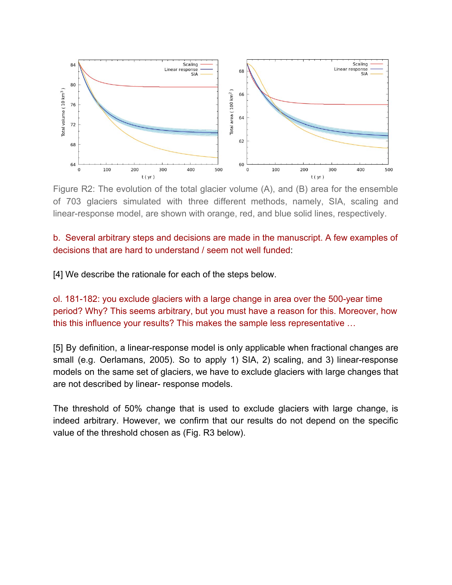

Figure R2: The evolution of the total glacier volume (A), and (B) area for the ensemble of 703 glaciers simulated with three different methods, namely, SIA, scaling and linear-response model, are shown with orange, red, and blue solid lines, respectively.

# b. Several arbitrary steps and decisions are made in the manuscript. A few examples of decisions that are hard to understand / seem not well funded:

[4] We describe the rationale for each of the steps below.

ol. 181-182: you exclude glaciers with a large change in area over the 500-year time period? Why? This seems arbitrary, but you must have a reason for this. Moreover, how this this influence your results? This makes the sample less representative …

[5] By definition, a linear-response model is only applicable when fractional changes are small (e.g. Oerlamans, 2005). So to apply 1) SIA, 2) scaling, and 3) linear-response models on the same set of glaciers, we have to exclude glaciers with large changes that are not described by linear- response models.

The threshold of 50% change that is used to exclude glaciers with large change, is indeed arbitrary. However, we confirm that our results do not depend on the specific value of the threshold chosen as (Fig. R3 below).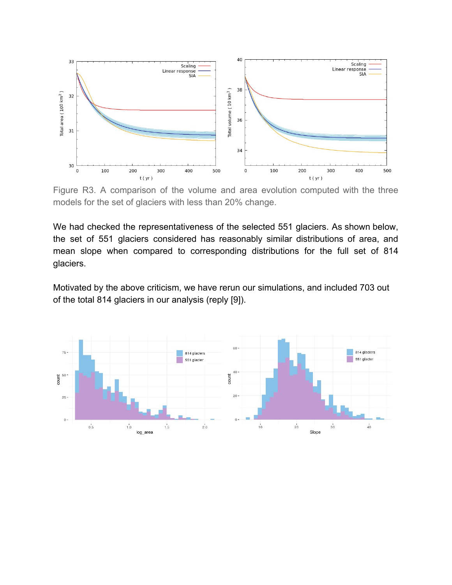

Figure R3. A comparison of the volume and area evolution computed with the three models for the set of glaciers with less than 20% change.

We had checked the representativeness of the selected 551 glaciers. As shown below, the set of 551 glaciers considered has reasonably similar distributions of area, and mean slope when compared to corresponding distributions for the full set of 814 glaciers.

Motivated by the above criticism, we have rerun our simulations, and included 703 out of the total 814 glaciers in our analysis (reply [9]).

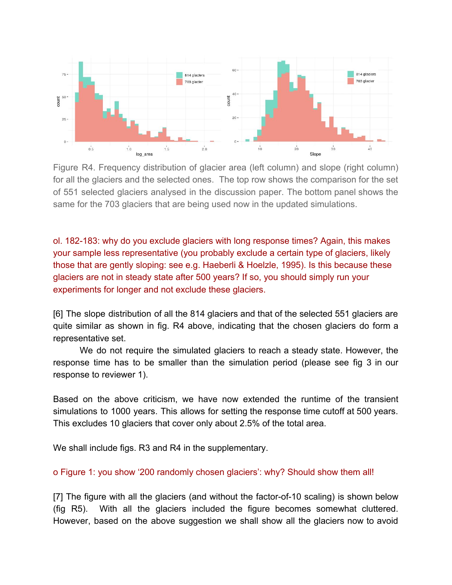

Figure R4. Frequency distribution of glacier area (left column) and slope (right column) for all the glaciers and the selected ones. The top row shows the comparison for the set of 551 selected glaciers analysed in the discussion paper. The bottom panel shows the same for the 703 glaciers that are being used now in the updated simulations.

ol. 182-183: why do you exclude glaciers with long response times? Again, this makes your sample less representative (you probably exclude a certain type of glaciers, likely those that are gently sloping: see e.g. Haeberli & Hoelzle, 1995). Is this because these glaciers are not in steady state after 500 years? If so, you should simply run your experiments for longer and not exclude these glaciers.

[6] The slope distribution of all the 814 glaciers and that of the selected 551 glaciers are quite similar as shown in fig. R4 above, indicating that the chosen glaciers do form a representative set.

We do not require the simulated glaciers to reach a steady state. However, the response time has to be smaller than the simulation period (please see fig 3 in our response to reviewer 1).

Based on the above criticism, we have now extended the runtime of the transient simulations to 1000 years. This allows for setting the response time cutoff at 500 years. This excludes 10 glaciers that cover only about 2.5% of the total area.

We shall include figs. R3 and R4 in the supplementary.

o Figure 1: you show '200 randomly chosen glaciers': why? Should show them all!

[7] The figure with all the glaciers (and without the factor-of-10 scaling) is shown below (fig R5). With all the glaciers included the figure becomes somewhat cluttered. However, based on the above suggestion we shall show all the glaciers now to avoid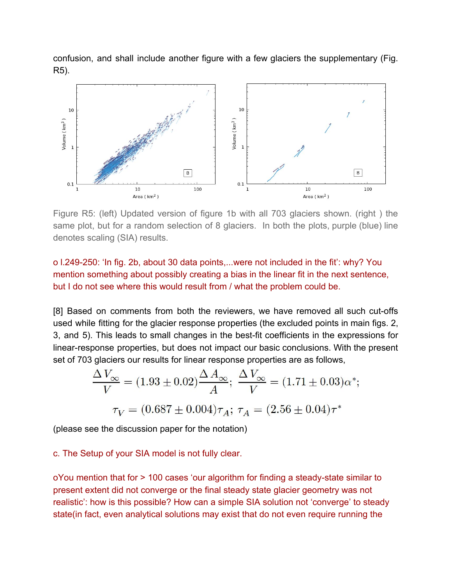confusion, and shall include another figure with a few glaciers the supplementary (Fig. R5).



Figure R5: (left) Updated version of figure 1b with all 703 glaciers shown. (right ) the same plot, but for a random selection of 8 glaciers. In both the plots, purple (blue) line denotes scaling (SIA) results.

o l.249-250: 'In fig. 2b, about 30 data points,...were not included in the fit': why? You mention something about possibly creating a bias in the linear fit in the next sentence, but I do not see where this would result from / what the problem could be.

[8] Based on comments from both the reviewers, we have removed all such cut-offs used while fitting for the glacier response properties (the excluded points in main figs. 2, 3, and 5). This leads to small changes in the best-fit coefficients in the expressions for linear-response properties, but does not impact our basic conclusions. With the present set of 703 glaciers our results for linear response properties are as follows,

$$
\frac{\Delta V_{\infty}}{V} = (1.93 \pm 0.02) \frac{\Delta A_{\infty}}{A}; \ \frac{\Delta V_{\infty}}{V} = (1.71 \pm 0.03) \alpha^{*};
$$

$$
\tau_V = (0.687 \pm 0.004) \tau_A; \ \tau_A = (2.56 \pm 0.04) \tau^{*}
$$

(please see the discussion paper for the notation)

c. The Setup of your SIA model is not fully clear.

oYou mention that for > 100 cases 'our algorithm for finding a steady-state similar to present extent did not converge or the final steady state glacier geometry was not realistic': how is this possible? How can a simple SIA solution not 'converge' to steady state(in fact, even analytical solutions may exist that do not even require running the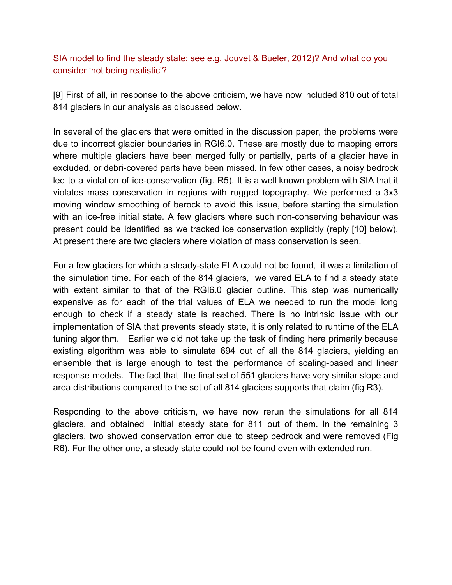SIA model to find the steady state: see e.g. Jouvet & Bueler, 2012)? And what do you consider 'not being realistic'?

[9] First of all, in response to the above criticism, we have now included 810 out of total 814 glaciers in our analysis as discussed below.

In several of the glaciers that were omitted in the discussion paper, the problems were due to incorrect glacier boundaries in RGI6.0. These are mostly due to mapping errors where multiple glaciers have been merged fully or partially, parts of a glacier have in excluded, or debri-covered parts have been missed. In few other cases, a noisy bedrock led to a violation of ice-conservation (fig. R5). It is a well known problem with SIA that it violates mass conservation in regions with rugged topography. We performed a 3x3 moving window smoothing of berock to avoid this issue, before starting the simulation with an ice-free initial state. A few glaciers where such non-conserving behaviour was present could be identified as we tracked ice conservation explicitly (reply [10] below). At present there are two glaciers where violation of mass conservation is seen.

For a few glaciers for which a steady-state ELA could not be found, it was a limitation of the simulation time. For each of the 814 glaciers, we vared ELA to find a steady state with extent similar to that of the RGI6.0 glacier outline. This step was numerically expensive as for each of the trial values of ELA we needed to run the model long enough to check if a steady state is reached. There is no intrinsic issue with our implementation of SIA that prevents steady state, it is only related to runtime of the ELA tuning algorithm. Earlier we did not take up the task of finding here primarily because existing algorithm was able to simulate 694 out of all the 814 glaciers, yielding an ensemble that is large enough to test the performance of scaling-based and linear response models. The fact that the final set of 551 glaciers have very similar slope and area distributions compared to the set of all 814 glaciers supports that claim (fig R3).

Responding to the above criticism, we have now rerun the simulations for all 814 glaciers, and obtained initial steady state for 811 out of them. In the remaining 3 glaciers, two showed conservation error due to steep bedrock and were removed (Fig R6). For the other one, a steady state could not be found even with extended run.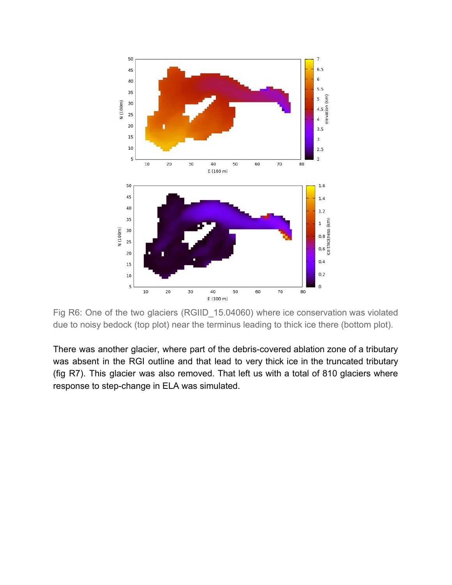

Fig R6: One of the two glaciers (RGIID\_15.04060) where ice conservation was violated due to noisy bedock (top plot) near the terminus leading to thick ice there (bottom plot).

There was another glacier, where part of the debris-covered ablation zone of a tributary was absent in the RGI outline and that lead to very thick ice in the truncated tributary (fig R7). This glacier was also removed. That left us with a total of 810 glaciers where response to step-change in ELA was simulated.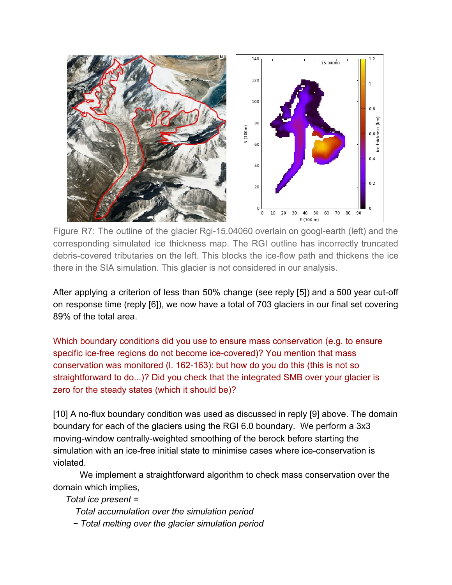

Figure R7: The outline of the glacier Rgi-15.04060 overlain on googl-earth (left) and the corresponding simulated ice thickness map. The RGI outline has incorrectly truncated debris-covered tributaries on the left. This blocks the ice-flow path and thickens the ice there in the SIA simulation. This glacier is not considered in our analysis.

After applying a criterion of less than 50% change (see reply [5]) and a 500 year cut-off on response time (reply [6]), we now have a total of 703 glaciers in our final set covering 89% of the total area.

Which boundary conditions did you use to ensure mass conservation (e.g. to ensure specific ice-free regions do not become ice-covered)? You mention that mass conservation was monitored (l. 162-163): but how do you do this (this is not so straightforward to do...)? Did you check that the integrated SMB over your glacier is zero for the steady states (which it should be)?

[10] A no-flux boundary condition was used as discussed in reply [9] above. The domain boundary for each of the glaciers using the RGI 6.0 boundary. We perform a 3x3 moving-window centrally-weighted smoothing of the berock before starting the simulation with an ice-free initial state to minimise cases where ice-conservation is violated.

We implement a straightforward algorithm to check mass conservation over the domain which implies,

*Total ice present =*

- *Total accumulation over the simulation period*
- *− Total melting over the glacier simulation period*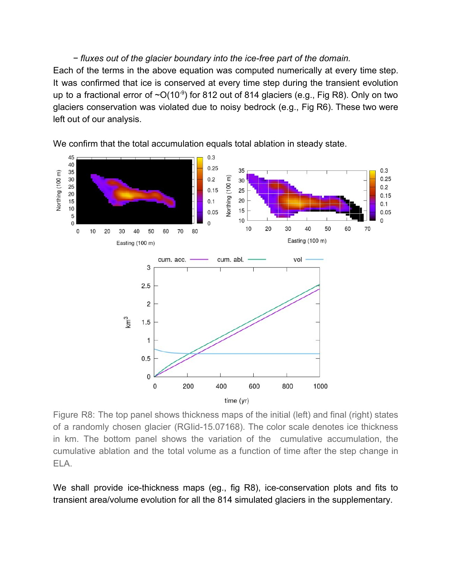## *− fluxes out of the glacier boundary into the ice-free part of the domain.*

Each of the terms in the above equation was computed numerically at every time step. It was confirmed that ice is conserved at every time step during the transient evolution up to a fractional error of  $\sim O(10^{-9})$  for 812 out of 814 glaciers (e.g., Fig R8). Only on two glaciers conservation was violated due to noisy bedrock (e.g., Fig R6). These two were left out of our analysis.



We confirm that the total accumulation equals total ablation in steady state.

Figure R8: The top panel shows thickness maps of the initial (left) and final (right) states of a randomly chosen glacier (RGIid-15.07168). The color scale denotes ice thickness in km. The bottom panel shows the variation of the cumulative accumulation, the cumulative ablation and the total volume as a function of time after the step change in ELA.

We shall provide ice-thickness maps (eg., fig R8), ice-conservation plots and fits to transient area/volume evolution for all the 814 simulated glaciers in the supplementary.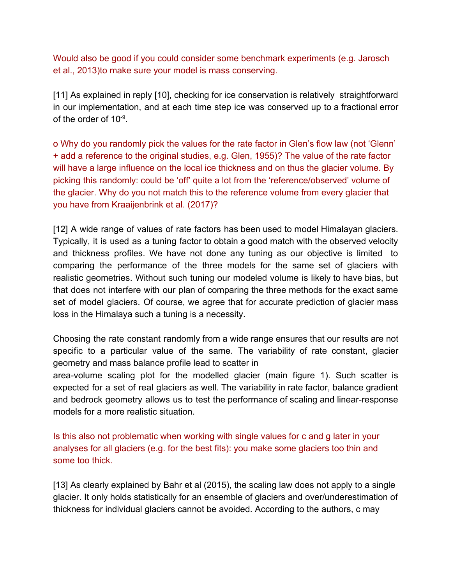Would also be good if you could consider some benchmark experiments (e.g. Jarosch et al., 2013)to make sure your model is mass conserving.

[11] As explained in reply [10], checking for ice conservation is relatively straightforward in our implementation, and at each time step ice was conserved up to a fractional error of the order of 10<sup>-9</sup>.

o Why do you randomly pick the values for the rate factor in Glen's flow law (not 'Glenn' + add a reference to the original studies, e.g. Glen, 1955)? The value of the rate factor will have a large influence on the local ice thickness and on thus the glacier volume. By picking this randomly: could be 'off' quite a lot from the 'reference/observed' volume of the glacier. Why do you not match this to the reference volume from every glacier that you have from Kraaijenbrink et al. (2017)?

[12] A wide range of values of rate factors has been used to model Himalayan glaciers. Typically, it is used as a tuning factor to obtain a good match with the observed velocity and thickness profiles. We have not done any tuning as our objective is limited to comparing the performance of the three models for the same set of glaciers with realistic geometries. Without such tuning our modeled volume is likely to have bias, but that does not interfere with our plan of comparing the three methods for the exact same set of model glaciers. Of course, we agree that for accurate prediction of glacier mass loss in the Himalaya such a tuning is a necessity.

Choosing the rate constant randomly from a wide range ensures that our results are not specific to a particular value of the same. The variability of rate constant, glacier geometry and mass balance profile lead to scatter in

area-volume scaling plot for the modelled glacier (main figure 1). Such scatter is expected for a set of real glaciers as well. The variability in rate factor, balance gradient and bedrock geometry allows us to test the performance of scaling and linear-response models for a more realistic situation.

Is this also not problematic when working with single values for c and g later in your analyses for all glaciers (e.g. for the best fits): you make some glaciers too thin and some too thick.

[13] As clearly explained by Bahr et al (2015), the scaling law does not apply to a single glacier. It only holds statistically for an ensemble of glaciers and over/underestimation of thickness for individual glaciers cannot be avoided. According to the authors, c may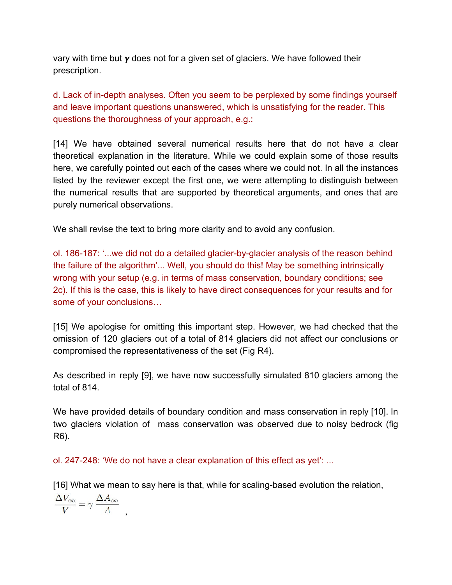vary with time but  $\gamma$  does not for a given set of glaciers. We have followed their prescription.

d. Lack of in-depth analyses. Often you seem to be perplexed by some findings yourself and leave important questions unanswered, which is unsatisfying for the reader. This questions the thoroughness of your approach, e.g.:

[14] We have obtained several numerical results here that do not have a clear theoretical explanation in the literature. While we could explain some of those results here, we carefully pointed out each of the cases where we could not. In all the instances listed by the reviewer except the first one, we were attempting to distinguish between the numerical results that are supported by theoretical arguments, and ones that are purely numerical observations.

We shall revise the text to bring more clarity and to avoid any confusion.

ol. 186-187: '...we did not do a detailed glacier-by-glacier analysis of the reason behind the failure of the algorithm'... Well, you should do this! May be something intrinsically wrong with your setup (e.g. in terms of mass conservation, boundary conditions; see 2c). If this is the case, this is likely to have direct consequences for your results and for some of your conclusions…

[15] We apologise for omitting this important step. However, we had checked that the omission of 120 glaciers out of a total of 814 glaciers did not affect our conclusions or compromised the representativeness of the set (Fig R4).

As described in reply [9], we have now successfully simulated 810 glaciers among the total of 814.

We have provided details of boundary condition and mass conservation in reply [10]. In two glaciers violation of mass conservation was observed due to noisy bedrock (fig R6).

ol. 247-248: 'We do not have a clear explanation of this effect as yet': ...

[16] What we mean to say here is that, while for scaling-based evolution the relation,

 $\frac{\Delta V_{\infty}}{V} = \gamma \; \frac{\Delta A_{\infty}}{A} \label{eq:DeltaV}$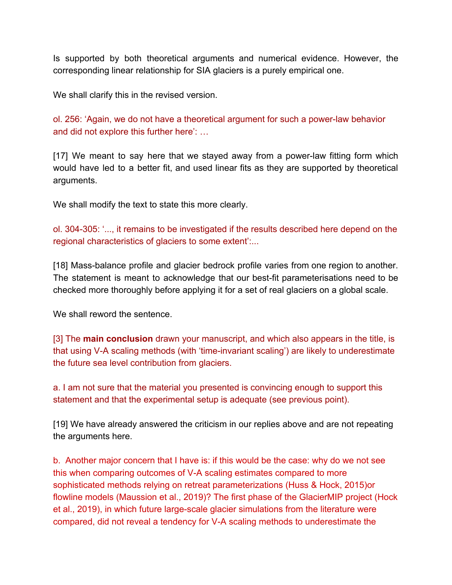Is supported by both theoretical arguments and numerical evidence. However, the corresponding linear relationship for SIA glaciers is a purely empirical one.

We shall clarify this in the revised version.

ol. 256: 'Again, we do not have a theoretical argument for such a power-law behavior and did not explore this further here': …

[17] We meant to say here that we stayed away from a power-law fitting form which would have led to a better fit, and used linear fits as they are supported by theoretical arguments.

We shall modify the text to state this more clearly.

ol. 304-305: '..., it remains to be investigated if the results described here depend on the regional characteristics of glaciers to some extent':...

[18] Mass-balance profile and glacier bedrock profile varies from one region to another. The statement is meant to acknowledge that our best-fit parameterisations need to be checked more thoroughly before applying it for a set of real glaciers on a global scale.

We shall reword the sentence.

[3] The **main conclusion** drawn your manuscript, and which also appears in the title, is that using V-A scaling methods (with 'time-invariant scaling') are likely to underestimate the future sea level contribution from glaciers.

a. I am not sure that the material you presented is convincing enough to support this statement and that the experimental setup is adequate (see previous point).

[19] We have already answered the criticism in our replies above and are not repeating the arguments here.

b. Another major concern that I have is: if this would be the case: why do we not see this when comparing outcomes of V-A scaling estimates compared to more sophisticated methods relying on retreat parameterizations (Huss & Hock, 2015)or flowline models (Maussion et al., 2019)? The first phase of the GlacierMIP project (Hock et al., 2019), in which future large-scale glacier simulations from the literature were compared, did not reveal a tendency for V-A scaling methods to underestimate the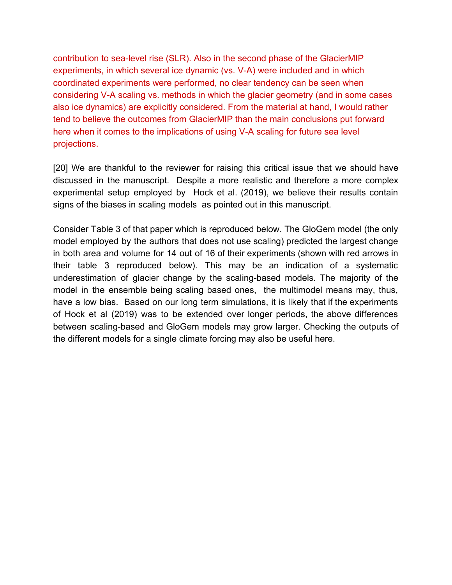contribution to sea-level rise (SLR). Also in the second phase of the GlacierMIP experiments, in which several ice dynamic (vs. V-A) were included and in which coordinated experiments were performed, no clear tendency can be seen when considering V-A scaling vs. methods in which the glacier geometry (and in some cases also ice dynamics) are explicitly considered. From the material at hand, I would rather tend to believe the outcomes from GlacierMIP than the main conclusions put forward here when it comes to the implications of using V-A scaling for future sea level projections.

[20] We are thankful to the reviewer for raising this critical issue that we should have discussed in the manuscript. Despite a more realistic and therefore a more complex experimental setup employed by Hock et al. (2019), we believe their results contain signs of the biases in scaling models as pointed out in this manuscript.

Consider Table 3 of that paper which is reproduced below. The GloGem model (the only model employed by the authors that does not use scaling) predicted the largest change in both area and volume for 14 out of 16 of their experiments (shown with red arrows in their table 3 reproduced below). This may be an indication of a systematic underestimation of glacier change by the scaling-based models. The majority of the model in the ensemble being scaling based ones, the multimodel means may, thus, have a low bias. Based on our long term simulations, it is likely that if the experiments of Hock et al (2019) was to be extended over longer periods, the above differences between scaling-based and GloGem models may grow larger. Checking the outputs of the different models for a single climate forcing may also be useful here.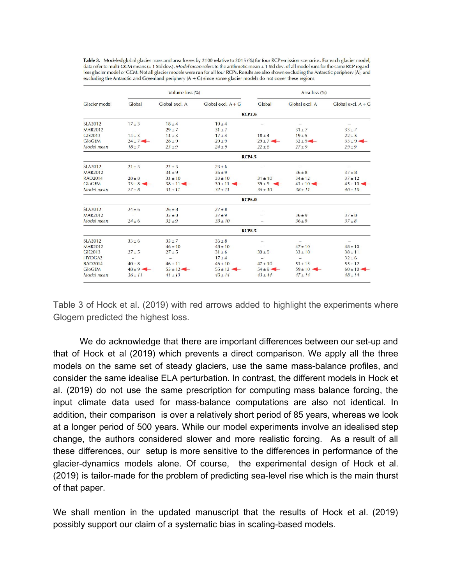| Table 3. Modeled global glacier mass and area losses by 2100 relative to 2015 (%) for four RCP emission scenarios. For each glacier model,      |
|-------------------------------------------------------------------------------------------------------------------------------------------------|
| data refer to multi-GCM means (± 1 Std dev.). Model mean refers to the arithmetic mean ± 1 Std dev. of all model runs for the same RCP regard-  |
| less glacier model or GCM. Not all glacier models were run for all four RCPs. Results are also shown excluding the Antarctic periphery (A), and |
| excluding the Antarctic and Greenland periphery $(A + G)$ since some glacier models do not cover these regions                                  |

| Glacier model      | Volume loss (%)          |                          |                          | Area loss (%)            |                          |                          |  |
|--------------------|--------------------------|--------------------------|--------------------------|--------------------------|--------------------------|--------------------------|--|
|                    | Global                   | Global excl. A           | $Global$ excl. $A + G$   | Global                   | Global excl. A           | Global excl. $A + G$     |  |
|                    |                          |                          |                          | <b>RCP2.6</b>            |                          |                          |  |
| <b>SLA2012</b>     | $17 \pm 3$               | $18 \pm 4$               | $19 + 4$                 |                          |                          |                          |  |
| <b>MAR2012</b>     | $\overline{\phantom{a}}$ | $29 \pm 7$               | $31 + 7$                 |                          | $31 \pm 7$               | $33 + 7$                 |  |
| GIE2013            | $14 \pm 3$               | $14 \pm 3$               | $17 + 4$                 | $18 \pm 4$               | $19 \pm 5$               | $22 \pm 5$               |  |
| <b>GloGEM</b>      | $24 \pm 7$ –             | $28 \pm 9$               | $29 + 9$                 | $29 \pm 7$ $\leftarrow$  | $32 \pm 9$ –             | $33 \pm 9$ -             |  |
| Model mean         | $18 \pm 7$               | $23 \pm 9$               | $24 \pm 9$               | $22 \pm 8$               | $27 \pm 9$               | $29 \pm 9$               |  |
|                    | <b>RCP4.5</b>            |                          |                          |                          |                          |                          |  |
| <b>SLA2012</b>     | $21 \pm 5$               | $22 \pm 5$               | $23 \pm 6$               | $\overline{\phantom{m}}$ | $\overline{\phantom{0}}$ | $\overline{\phantom{0}}$ |  |
| <b>MAR2012</b>     |                          | $34 \pm 9$               | $36 + 9$                 | $\overline{\phantom{0}}$ | $36 \pm 8$               | $37 \pm 8$               |  |
| <b>RAD2014</b>     | $28 \pm 8$               | $33 \pm 10$              | $33 \pm 10$              | $31 \pm 10$              | $34 \pm 12$              | $37 \pm 12$              |  |
| <b>GloGEM</b>      | $33 \pm 8$ –             | $38 \pm 11$ $-$          | $39 \pm 11$ $\leftarrow$ | $39 \pm 9$ -             | $43 \pm 10$ $-$          | $45 \pm 10$ $-$          |  |
| Model mean         | $27 \pm 8$               | $31 \pm 11$              | $32 \pm 11$              | $35 \pm 10$              | $38 \pm 11$              | $40 \pm 10$              |  |
|                    |                          |                          |                          | <b>RCP6.0</b>            |                          |                          |  |
| <b>SLA2012</b>     | $24 \pm 6$               | $26 \pm 8$               | $27 \pm 8$               | $\overline{\phantom{0}}$ | $\overline{\phantom{0}}$ | $\equiv$                 |  |
| <b>MAR2012</b>     | ۷                        | $35 \pm 8$               | $37 + 9$                 |                          | $36 \pm 9$               | $37 + 8$                 |  |
| Model mean         | $24 \pm 6$               | $32 + 9$                 | $33 \pm 10$              |                          | $36 \pm 9$               | $37 + 8$                 |  |
|                    | <b>RCP8.5</b>            |                          |                          |                          |                          |                          |  |
| <b>SLA2012</b>     | $33 \pm 6$               | $35 \pm 7$               | $36 \pm 8$               | $\overline{\phantom{m}}$ |                          |                          |  |
| <b>MAR2012</b>     | 宰                        | $46 \pm 10$              | $48 \pm 10$              | $\overline{\phantom{m}}$ | $47 \pm 10$              | $48 \pm 10$              |  |
| GIE2013            | $27 \pm 5$               | $27 + 5$                 | $31 \pm 6$               | $30 \pm 9$               | $33 \pm 10$              | $38 \pm 11$              |  |
| HYOGA <sub>2</sub> | ÷                        | $\overline{\phantom{0}}$ | $17 + 4$                 | $\qquad \qquad -$        | 2                        | $32 \pm 6$               |  |
| <b>RAD2014</b>     | $40 \pm 8$               | $46 \pm 11$              | $46 \pm 10$              | $47 \pm 10$              | $53 \pm 13$              | $55 \pm 12$              |  |
| <b>GloGEM</b>      | $48 \pm 9$ $-$           | $55 \pm 12$ $-$          | $55 \pm 12$ $\leftarrow$ | $54 \pm 9$ $-$           | $59 \pm 10$              | $60 \pm 10$ $-$          |  |
| Model mean         | $36 \pm 11$              | $41 \pm 13$              | $40 \pm 14$              | $43 \pm 14$              | $47 \pm 14$              | $48 \pm 14$              |  |

Table 3 of Hock et al. (2019) with red arrows added to highlight the experiments where Glogem predicted the highest loss.

We do acknowledge that there are important differences between our set-up and that of Hock et al (2019) which prevents a direct comparison. We apply all the three models on the same set of steady glaciers, use the same mass-balance profiles, and consider the same idealise ELA perturbation. In contrast, the different models in Hock et al. (2019) do not use the same prescription for computing mass balance forcing, the input climate data used for mass-balance computations are also not identical. In addition, their comparison is over a relatively short period of 85 years, whereas we look at a longer period of 500 years. While our model experiments involve an idealised step change, the authors considered slower and more realistic forcing. As a result of all these differences, our setup is more sensitive to the differences in performance of the glacier-dynamics models alone. Of course, the experimental design of Hock et al. (2019) is tailor-made for the problem of predicting sea-level rise which is the main thurst of that paper.

We shall mention in the updated manuscript that the results of Hock et al. (2019) possibly support our claim of a systematic bias in scaling-based models.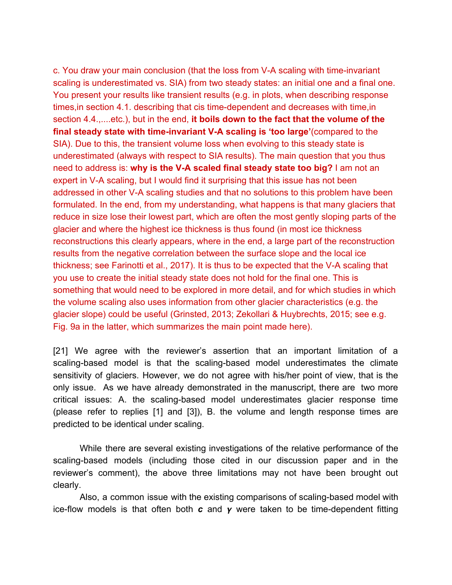c. You draw your main conclusion (that the loss from V-A scaling with time-invariant scaling is underestimated vs. SIA) from two steady states: an initial one and a final one. You present your results like transient results (e.g. in plots, when describing response times,in section 4.1. describing that cis time-dependent and decreases with time,in section 4.4.,....etc.), but in the end, **it boils down to the fact that the volume of the final steady state with time-invariant V-A scaling is 'too large'**(compared to the SIA). Due to this, the transient volume loss when evolving to this steady state is underestimated (always with respect to SIA results). The main question that you thus need to address is: **why is the V-A scaled final steady state too big?** I am not an expert in V-A scaling, but I would find it surprising that this issue has not been addressed in other V-A scaling studies and that no solutions to this problem have been formulated. In the end, from my understanding, what happens is that many glaciers that reduce in size lose their lowest part, which are often the most gently sloping parts of the glacier and where the highest ice thickness is thus found (in most ice thickness reconstructions this clearly appears, where in the end, a large part of the reconstruction results from the negative correlation between the surface slope and the local ice thickness; see Farinotti et al., 2017). It is thus to be expected that the V-A scaling that you use to create the initial steady state does not hold for the final one. This is something that would need to be explored in more detail, and for which studies in which the volume scaling also uses information from other glacier characteristics (e.g. the glacier slope) could be useful (Grinsted, 2013; Zekollari & Huybrechts, 2015; see e.g. Fig. 9a in the latter, which summarizes the main point made here).

[21] We agree with the reviewer's assertion that an important limitation of a scaling-based model is that the scaling-based model underestimates the climate sensitivity of glaciers. However, we do not agree with his/her point of view, that is the only issue. As we have already demonstrated in the manuscript, there are two more critical issues: A. the scaling-based model underestimates glacier response time (please refer to replies [1] and [3]), B. the volume and length response times are predicted to be identical under scaling.

While there are several existing investigations of the relative performance of the scaling-based models (including those cited in our discussion paper and in the reviewer's comment), the above three limitations may not have been brought out clearly.

Also, a common issue with the existing comparisons of scaling-based model with ice-flow models is that often both  $c$  and  $\gamma$  were taken to be time-dependent fitting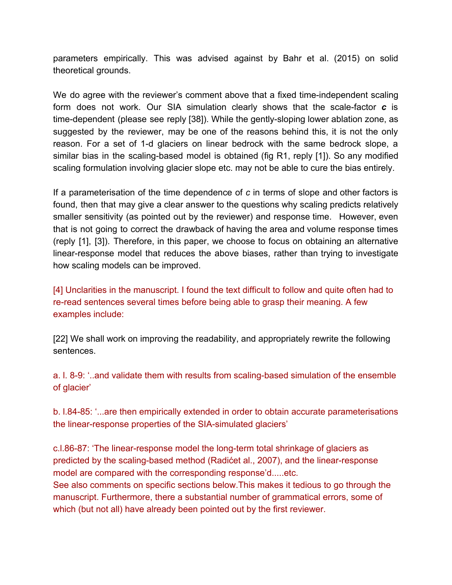parameters empirically. This was advised against by Bahr et al. (2015) on solid theoretical grounds.

We do agree with the reviewer's comment above that a fixed time-independent scaling form does not work. Our SIA simulation clearly shows that the scale-factor *c* is time-dependent (please see reply [38]). While the gently-sloping lower ablation zone, as suggested by the reviewer, may be one of the reasons behind this, it is not the only reason. For a set of 1-d glaciers on linear bedrock with the same bedrock slope, a similar bias in the scaling-based model is obtained (fig R1, reply [1]). So any modified scaling formulation involving glacier slope etc. may not be able to cure the bias entirely.

If a parameterisation of the time dependence of *c* in terms of slope and other factors is found, then that may give a clear answer to the questions why scaling predicts relatively smaller sensitivity (as pointed out by the reviewer) and response time. However, even that is not going to correct the drawback of having the area and volume response times (reply [1], [3]). Therefore, in this paper, we choose to focus on obtaining an alternative linear-response model that reduces the above biases, rather than trying to investigate how scaling models can be improved.

[4] Unclarities in the manuscript. I found the text difficult to follow and quite often had to re-read sentences several times before being able to grasp their meaning. A few examples include:

[22] We shall work on improving the readability, and appropriately rewrite the following sentences.

a. l. 8-9: '..and validate them with results from scaling-based simulation of the ensemble of glacier'

b. l.84-85: '...are then empirically extended in order to obtain accurate parameterisations the linear-response properties of the SIA-simulated glaciers'

c.l.86-87: 'The linear-response model the long-term total shrinkage of glaciers as predicted by the scaling-based method (Radićet al., 2007), and the linear-response model are compared with the corresponding response'd.....etc. See also comments on specific sections below.This makes it tedious to go through the manuscript. Furthermore, there a substantial number of grammatical errors, some of which (but not all) have already been pointed out by the first reviewer.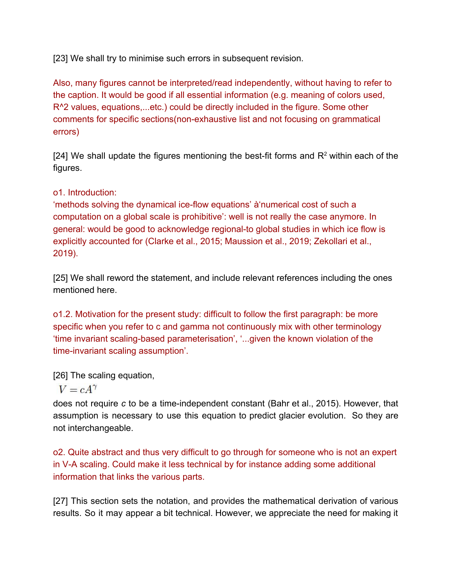[23] We shall try to minimise such errors in subsequent revision.

Also, many figures cannot be interpreted/read independently, without having to refer to the caption. It would be good if all essential information (e.g. meaning of colors used, R^2 values, equations,...etc.) could be directly included in the figure. Some other comments for specific sections(non-exhaustive list and not focusing on grammatical errors)

[24] We shall update the figures mentioning the best-fit forms and  $R<sup>2</sup>$  within each of the figures.

# o1. Introduction:

'methods solving the dynamical ice-flow equations' à'numerical cost of such a computation on a global scale is prohibitive': well is not really the case anymore. In general: would be good to acknowledge regional-to global studies in which ice flow is explicitly accounted for (Clarke et al., 2015; Maussion et al., 2019; Zekollari et al., 2019).

[25] We shall reword the statement, and include relevant references including the ones mentioned here.

o1.2. Motivation for the present study: difficult to follow the first paragraph: be more specific when you refer to c and gamma not continuously mix with other terminology 'time invariant scaling-based parameterisation', '...given the known violation of the time-invariant scaling assumption'.

[26] The scaling equation,

# $V = cA^{\gamma}$

does not require *c* to be a time-independent constant (Bahr et al., 2015). However, that assumption is necessary to use this equation to predict glacier evolution. So they are not interchangeable.

o2. Quite abstract and thus very difficult to go through for someone who is not an expert in V-A scaling. Could make it less technical by for instance adding some additional information that links the various parts.

[27] This section sets the notation, and provides the mathematical derivation of various results. So it may appear a bit technical. However, we appreciate the need for making it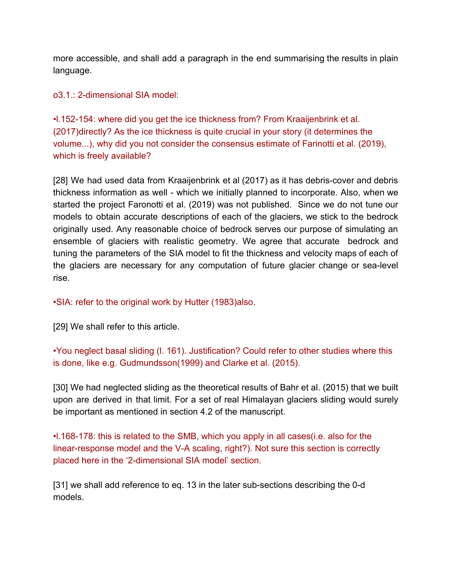more accessible, and shall add a paragraph in the end summarising the results in plain language.

o3.1.: 2-dimensional SIA model:

•l.152-154: where did you get the ice thickness from? From Kraaijenbrink et al. (2017)directly? As the ice thickness is quite crucial in your story (it determines the volume...), why did you not consider the consensus estimate of Farinotti et al. (2019), which is freely available?

[28] We had used data from Kraaijenbrink et al (2017) as it has debris-cover and debris thickness information as well - which we initially planned to incorporate. Also, when we started the project Faronotti et al. (2019) was not published. Since we do not tune our models to obtain accurate descriptions of each of the glaciers, we stick to the bedrock originally used. Any reasonable choice of bedrock serves our purpose of simulating an ensemble of glaciers with realistic geometry. We agree that accurate bedrock and tuning the parameters of the SIA model to fit the thickness and velocity maps of each of the glaciers are necessary for any computation of future glacier change or sea-level rise.

•SIA: refer to the original work by Hutter (1983)also.

[29] We shall refer to this article.

•You neglect basal sliding (l. 161). Justification? Could refer to other studies where this is done, like e.g. Gudmundsson(1999) and Clarke et al. (2015).

[30] We had neglected sliding as the theoretical results of Bahr et al. (2015) that we built upon are derived in that limit. For a set of real Himalayan glaciers sliding would surely be important as mentioned in section 4.2 of the manuscript.

•l.168-178: this is related to the SMB, which you apply in all cases(i.e. also for the linear-response model and the V-A scaling, right?). Not sure this section is correctly placed here in the '2-dimensional SIA model' section.

[31] we shall add reference to eq. 13 in the later sub-sections describing the 0-d models.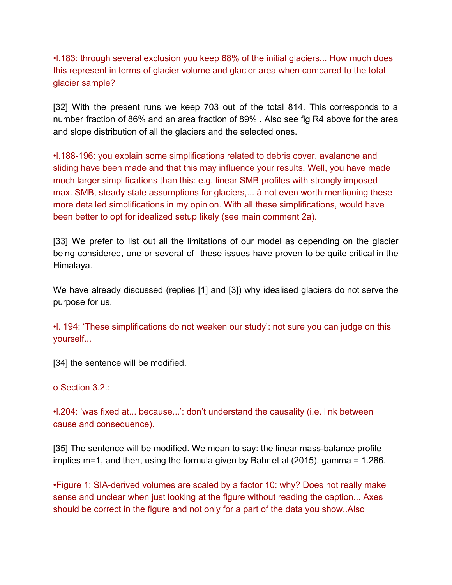•l.183: through several exclusion you keep 68% of the initial glaciers... How much does this represent in terms of glacier volume and glacier area when compared to the total glacier sample?

[32] With the present runs we keep 703 out of the total 814. This corresponds to a number fraction of 86% and an area fraction of 89% . Also see fig R4 above for the area and slope distribution of all the glaciers and the selected ones.

•l.188-196: you explain some simplifications related to debris cover, avalanche and sliding have been made and that this may influence your results. Well, you have made much larger simplifications than this: e.g. linear SMB profiles with strongly imposed max. SMB, steady state assumptions for glaciers,... à not even worth mentioning these more detailed simplifications in my opinion. With all these simplifications, would have been better to opt for idealized setup likely (see main comment 2a).

[33] We prefer to list out all the limitations of our model as depending on the glacier being considered, one or several of these issues have proven to be quite critical in the Himalaya.

We have already discussed (replies [1] and [3]) why idealised glaciers do not serve the purpose for us.

•l. 194: 'These simplifications do not weaken our study': not sure you can judge on this yourself...

[34] the sentence will be modified.

o Section 3.2.:

•l.204: 'was fixed at... because...': don't understand the causality (i.e. link between cause and consequence).

[35] The sentence will be modified. We mean to say: the linear mass-balance profile implies m=1, and then, using the formula given by Bahr et al (2015), gamma = 1.286.

•Figure 1: SIA-derived volumes are scaled by a factor 10: why? Does not really make sense and unclear when just looking at the figure without reading the caption... Axes should be correct in the figure and not only for a part of the data you show..Also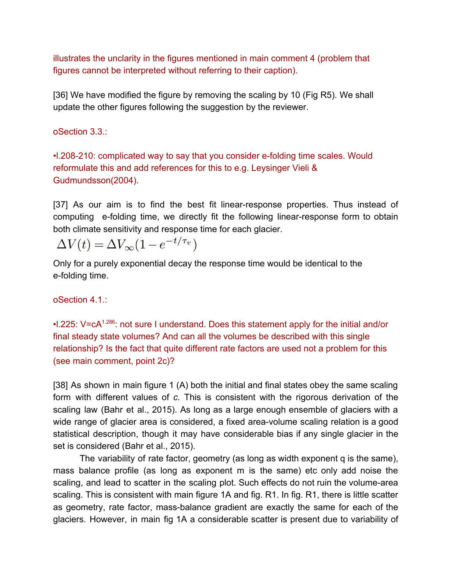illustrates the unclarity in the figures mentioned in main comment 4 (problem that figures cannot be interpreted without referring to their caption).

[36] We have modified the figure by removing the scaling by 10 (Fig R5). We shall update the other figures following the suggestion by the reviewer.

oSection 3.3.:

•l.208-210: complicated way to say that you consider e-folding time scales. Would reformulate this and add references for this to e.g. Leysinger Vieli & Gudmundsson(2004).

[37] As our aim is to find the best fit linear-response properties. Thus instead of computing e-folding time, we directly fit the following linear-response form to obtain both climate sensitivity and response time for each glacier.

 $\Delta V(t) = \Delta V_{\infty} (1 - e^{-t/\tau_v})$ 

Only for a purely exponential decay the response time would be identical to the e-folding time.

oSection 4.1.:

•I.225: V=cA<sup>1.286</sup>: not sure I understand. Does this statement apply for the initial and/or final steady state volumes? And can all the volumes be described with this single relationship? Is the fact that quite different rate factors are used not a problem for this (see main comment, point 2c)?

[38] As shown in main figure 1 (A) both the initial and final states obey the same scaling form with different values of *c.* This is consistent with the rigorous derivation of the scaling law (Bahr et al., 2015). As long as a large enough ensemble of glaciers with a wide range of glacier area is considered, a fixed area-volume scaling relation is a good statistical description, though it may have considerable bias if any single glacier in the set is considered (Bahr et al., 2015).

The variability of rate factor, geometry (as long as width exponent q is the same), mass balance profile (as long as exponent m is the same) etc only add noise the scaling, and lead to scatter in the scaling plot. Such effects do not ruin the volume-area scaling. This is consistent with main figure 1A and fig. R1. In fig. R1, there is little scatter as geometry, rate factor, mass-balance gradient are exactly the same for each of the glaciers. However, in main fig 1A a considerable scatter is present due to variability of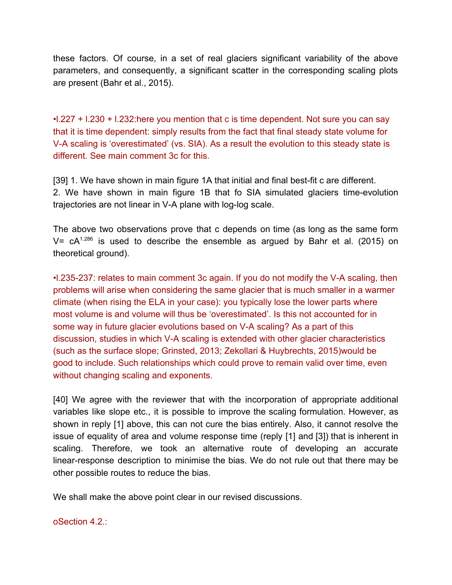these factors. Of course, in a set of real glaciers significant variability of the above parameters, and consequently, a significant scatter in the corresponding scaling plots are present (Bahr et al., 2015).

•l.227 + l.230 + l.232:here you mention that c is time dependent. Not sure you can say that it is time dependent: simply results from the fact that final steady state volume for V-A scaling is 'overestimated' (vs. SIA). As a result the evolution to this steady state is different. See main comment 3c for this.

[39] 1. We have shown in main figure 1A that initial and final best-fit c are different. 2. We have shown in main figure 1B that fo SIA simulated glaciers time-evolution trajectories are not linear in V-A plane with log-log scale.

The above two observations prove that c depends on time (as long as the same form V=  $cA^{1.286}$  is used to describe the ensemble as argued by Bahr et al. (2015) on theoretical ground).

•l.235-237: relates to main comment 3c again. If you do not modify the V-A scaling, then problems will arise when considering the same glacier that is much smaller in a warmer climate (when rising the ELA in your case): you typically lose the lower parts where most volume is and volume will thus be 'overestimated'. Is this not accounted for in some way in future glacier evolutions based on V-A scaling? As a part of this discussion, studies in which V-A scaling is extended with other glacier characteristics (such as the surface slope; Grinsted, 2013; Zekollari & Huybrechts, 2015)would be good to include. Such relationships which could prove to remain valid over time, even without changing scaling and exponents.

[40] We agree with the reviewer that with the incorporation of appropriate additional variables like slope etc., it is possible to improve the scaling formulation. However, as shown in reply [1] above, this can not cure the bias entirely. Also, it cannot resolve the issue of equality of area and volume response time (reply [1] and [3]) that is inherent in scaling. Therefore, we took an alternative route of developing an accurate linear-response description to minimise the bias. We do not rule out that there may be other possible routes to reduce the bias.

We shall make the above point clear in our revised discussions.

oSection 4.2.: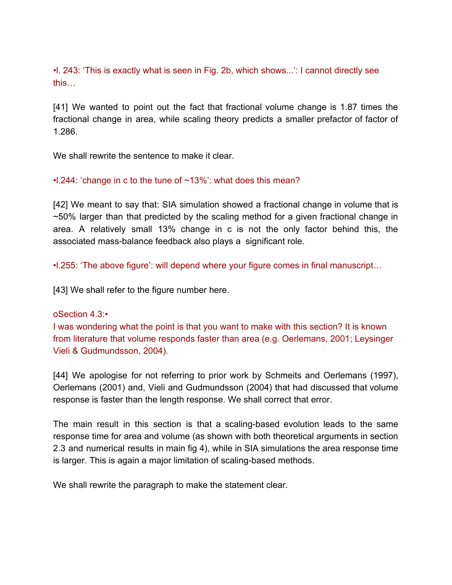•l. 243: 'This is exactly what is seen in Fig. 2b, which shows...': I cannot directly see this…

[41] We wanted to point out the fact that fractional volume change is 1.87 times the fractional change in area, while scaling theory predicts a smaller prefactor of factor of 1.286.

We shall rewrite the sentence to make it clear.

### •l.244: 'change in c to the tune of ~13%': what does this mean?

[42] We meant to say that: SIA simulation showed a fractional change in volume that is  $\sim$  50% larger than that predicted by the scaling method for a given fractional change in area. A relatively small 13% change in c is not the only factor behind this, the associated mass-balance feedback also plays a significant role.

•l.255: 'The above figure': will depend where your figure comes in final manuscript…

[43] We shall refer to the figure number here.

### oSection 4.3:•

I was wondering what the point is that you want to make with this section? It is known from literature that volume responds faster than area (e.g. Oerlemans, 2001; Leysinger Vieli & Gudmundsson, 2004).

[44] We apologise for not referring to prior work by Schmeits and Oerlemans (1997), Oerlemans (2001) and, Vieli and Gudmundsson (2004) that had discussed that volume response is faster than the length response. We shall correct that error.

The main result in this section is that a scaling-based evolution leads to the same response time for area and volume (as shown with both theoretical arguments in section 2.3 and numerical results in main fig 4), while in SIA simulations the area response time is larger. This is again a major limitation of scaling-based methods.

We shall rewrite the paragraph to make the statement clear.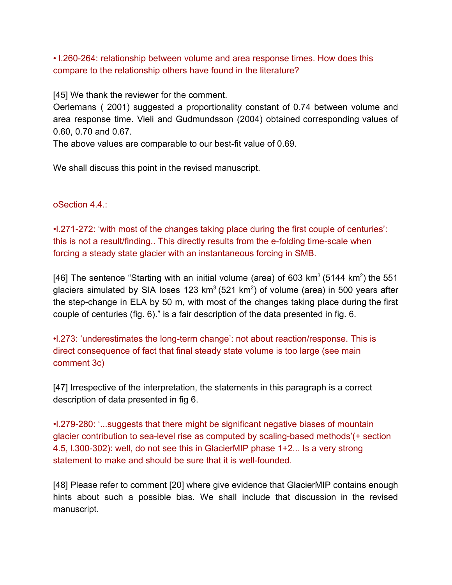• l.260-264: relationship between volume and area response times. How does this compare to the relationship others have found in the literature?

[45] We thank the reviewer for the comment.

Oerlemans ( 2001) suggested a proportionality constant of 0.74 between volume and area response time. Vieli and Gudmundsson (2004) obtained corresponding values of 0.60, 0.70 and 0.67.

The above values are comparable to our best-fit value of 0.69.

We shall discuss this point in the revised manuscript.

oSection 4.4.:

•l.271-272: 'with most of the changes taking place during the first couple of centuries': this is not a result/finding.. This directly results from the e-folding time-scale when forcing a steady state glacier with an instantaneous forcing in SMB.

[46] The sentence "Starting with an initial volume (area) of 603 km<sup>3</sup> (5144 km<sup>2</sup>) the 551 glaciers simulated by SIA loses 123 km<sup>3</sup> (521 km<sup>2</sup>) of volume (area) in 500 years after the step-change in ELA by 50 m, with most of the changes taking place during the first couple of centuries (fig. 6)." is a fair description of the data presented in fig. 6.

•l.273: 'underestimates the long-term change': not about reaction/response. This is direct consequence of fact that final steady state volume is too large (see main comment 3c)

[47] Irrespective of the interpretation, the statements in this paragraph is a correct description of data presented in fig 6.

•l.279-280: '...suggests that there might be significant negative biases of mountain glacier contribution to sea-level rise as computed by scaling-based methods'(+ section 4.5, l.300-302): well, do not see this in GlacierMIP phase 1+2... Is a very strong statement to make and should be sure that it is well-founded.

[48] Please refer to comment [20] where give evidence that GlacierMIP contains enough hints about such a possible bias. We shall include that discussion in the revised manuscript.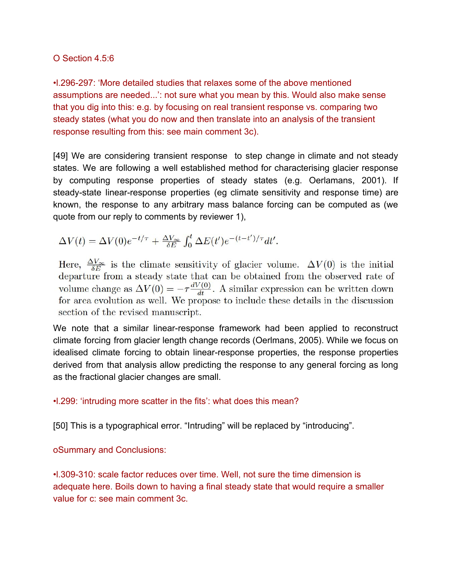### O Section 4.5:6

•l.296-297: 'More detailed studies that relaxes some of the above mentioned assumptions are needed...': not sure what you mean by this. Would also make sense that you dig into this: e.g. by focusing on real transient response vs. comparing two steady states (what you do now and then translate into an analysis of the transient response resulting from this: see main comment 3c).

[49] We are considering transient response to step change in climate and not steady states. We are following a well established method for characterising glacier response by computing response properties of steady states (e.g. Oerlamans, 2001). If steady-state linear-response properties (eg climate sensitivity and response time) are known, the response to any arbitrary mass balance forcing can be computed as (we quote from our reply to comments by reviewer 1),

$$
\Delta V(t) = \Delta V(0)e^{-t/\tau} + \frac{\Delta V_{\infty}}{\delta E} \int_0^t \Delta E(t')e^{-(t-t')/\tau}dt'.
$$

Here,  $\frac{\Delta V_{\infty}}{\delta E}$  is the climate sensitivity of glacier volume.  $\Delta V(0)$  is the initial departure from a steady state that can be obtained from the observed rate of volume change as  $\Delta V(0) = -\tau \frac{dV(0)}{dt}$ . A similar expression can be written down for area evolution as well. We propose to include these details in the discussion section of the revised manuscript.

We note that a similar linear-response framework had been applied to reconstruct climate forcing from glacier length change records (Oerlmans, 2005). While we focus on idealised climate forcing to obtain linear-response properties, the response properties derived from that analysis allow predicting the response to any general forcing as long as the fractional glacier changes are small.

# •l.299: 'intruding more scatter in the fits': what does this mean?

[50] This is a typographical error. "Intruding" will be replaced by "introducing".

oSummary and Conclusions:

•l.309-310: scale factor reduces over time. Well, not sure the time dimension is adequate here. Boils down to having a final steady state that would require a smaller value for c: see main comment 3c.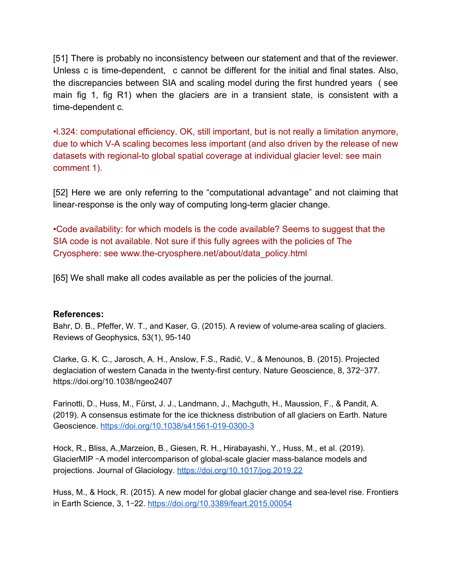[51] There is probably no inconsistency between our statement and that of the reviewer. Unless c is time-dependent, c cannot be different for the initial and final states. Also, the discrepancies between SIA and scaling model during the first hundred years ( see main fig 1, fig R1) when the glaciers are in a transient state, is consistent with a time-dependent c.

•l.324: computational efficiency. OK, still important, but is not really a limitation anymore, due to which V-A scaling becomes less important (and also driven by the release of new datasets with regional-to global spatial coverage at individual glacier level: see main comment 1).

[52] Here we are only referring to the "computational advantage" and not claiming that linear-response is the only way of computing long-term glacier change.

•Code availability: for which models is the code available? Seems to suggest that the SIA code is not available. Not sure if this fully agrees with the policies of The Cryosphere: see www.the-cryosphere.net/about/data\_policy.html

[65] We shall make all codes available as per the policies of the journal.

### **References:**

Bahr, D. B., Pfeffer, W. T., and Kaser, G. (2015). A review of volume-area scaling of glaciers. Reviews of Geophysics, 53(1), 95-140

Clarke, G. K. C., Jarosch, A. H., Anslow, F.S., Radić, V., & Menounos, B. (2015). Projected deglaciation of western Canada in the twenty-first century. Nature Geoscience, 8, 372-377. https://doi.org/10.1038/ngeo2407

Farinotti, D., Huss, M., Fürst, J. J., Landmann, J., Machguth, H., Maussion, F., & Pandit, A. (2019). A consensus estimate for the ice thickness distribution of all glaciers on Earth. Nature Geoscience. <https://doi.org/10.1038/s41561-019-0300-3>

Hock, R., Bliss, A.,Marzeion, B., Giesen, R. H., Hirabayashi, Y., Huss, M., et al. (2019). GlacierMIP -A model intercomparison of global-scale glacier mass-balance models and projections. Journal of Glaciology. <https://doi.org/10.1017/jog.2019.22>

Huss, M., & Hock, R. (2015). A new model for global glacier change and sea-level rise. Frontiers in Earth Science, 3, 1‒22. <https://doi.org/10.3389/feart.2015.00054>